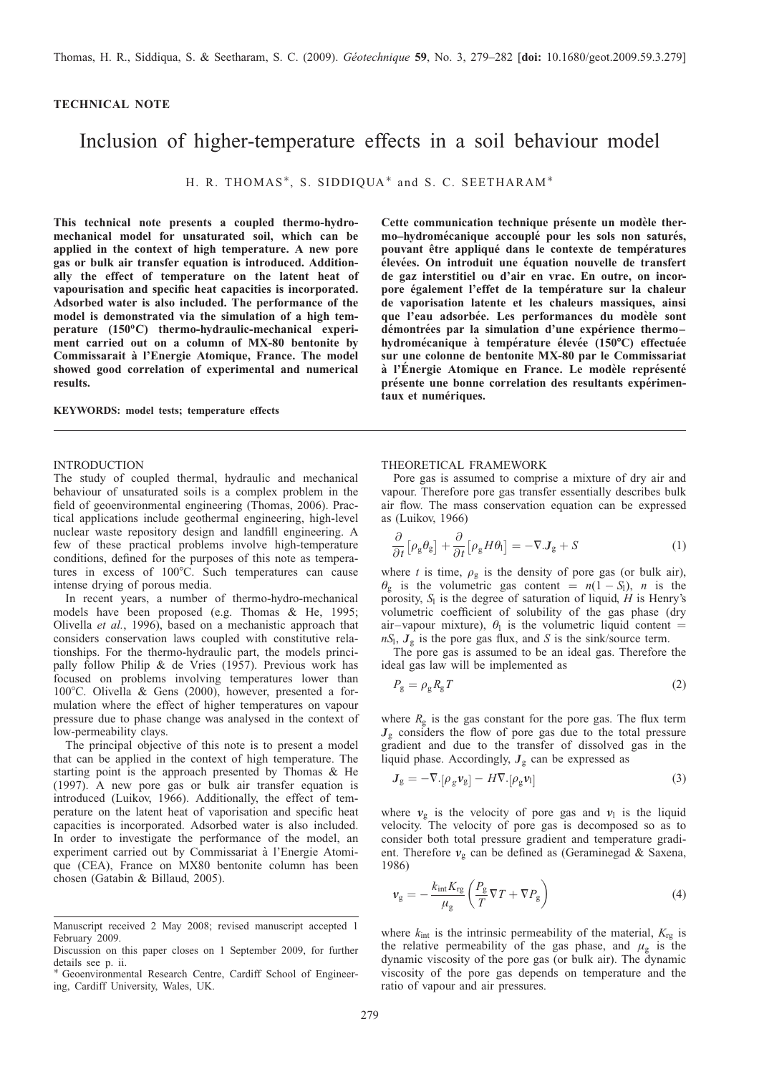# <span id="page-0-0"></span>TECHNICAL NOTE

# Inclusion of higher-temperature effects in a soil behaviour model

H. R. THOMAS\*, S. SIDDIQUA\* and S. C. SEETHARAM\*

This technical note presents a coupled thermo-hydromechanical model for unsaturated soil, which can be applied in the context of high temperature. A new pore gas or bulk air transfer equation is introduced. Additionally the effect of temperature on the latent heat of vapourisation and specific heat capacities is incorporated. Adsorbed water is also included. The performance of the model is demonstrated via the simulation of a high temperature  $(150^{\circ}C)$  thermo-hydraulic-mechanical experiment carried out on a column of MX-80 bentonite by Commissarait à l'Energie Atomique, France. The model showed good correlation of experimental and numerical results.

#### KEYWORDS: model tests; temperature effects

#### INTRODUCTION

The study of coupled thermal, hydraulic and mechanical behaviour of unsaturated soils is a complex problem in the field of geoenvironmental engineering [\(Thomas, 2006\)](#page-3-0). Practical applications include geothermal engineering, high-level nuclear waste repository design and landfill engineering. A few of these practical problems involve high-temperature conditions, defined for the purposes of this note as temperatures in excess of  $100^{\circ}$ C. Such temperatures can cause intense drying of porous media.

In recent years, a number of thermo-hydro-mechanical models have been proposed (e.g. [Thomas & He, 1995;](#page-3-0) [Olivella](#page-3-0) et al., 1996), based on a mechanistic approach that considers conservation laws coupled with constitutive relationships. For the thermo-hydraulic part, the models principally follow [Philip & de Vries \(1957\)](#page-3-0). Previous work has focused on problems involving temperatures lower than 100°C. [Olivella & Gens \(2000\)](#page-3-0), however, presented a formulation where the effect of higher temperatures on vapour pressure due to phase change was analysed in the context of low-permeability clays.

The principal objective of this note is to present a model that can be applied in the context of high temperature. The starting point is the approach presented by [Thomas & He](#page-3-0) [\(1997\)](#page-3-0). A new pore gas or bulk air transfer equation is introduced [\(Luikov, 1966\).](#page-3-0) Additionally, the effect of temperature on the latent heat of vaporisation and specific heat capacities is incorporated. Adsorbed water is also included. In order to investigate the performance of the model, an experiment carried out by Commissariat à l'Energie Atomique (CEA), France on MX80 bentonite column has been chosen [\(Gatabin & Billaud, 2005\).](#page-3-0)

Cette communication technique présente un modèle thermo-hydromécanique accouplé pour les sols non saturés, pouvant être appliqué dans le contexte de températures élevées. On introduit une équation nouvelle de transfert de gaz interstitiel ou d'air en vrac. En outre, on incorpore également l'effet de la température sur la chaleur de vaporisation latente et les chaleurs massiques, ainsi que l'eau adsorbée. Les performances du modèle sont démontrées par la simulation d'une expérience thermohydromécanique à température élevée (150°C) effectuée sur une colonne de bentonite MX-80 par le Commissariat à l'Énergie Atomique en France. Le modèle représenté présente une bonne correlation des resultants expérimentaux et numériques.

#### THEORETICAL FRAMEWORK

Pore gas is assumed to comprise a mixture of dry air and vapour. Therefore pore gas transfer essentially describes bulk air flow. The mass conservation equation can be expressed as [\(Luikov, 1966\)](#page-3-0)

$$
\frac{\partial}{\partial t} \left[ \rho_{g} \theta_{g} \right] + \frac{\partial}{\partial t} \left[ \rho_{g} H \theta_{l} \right] = -\nabla J_{g} + S \tag{1}
$$

where t is time,  $\rho_{\rm g}$  is the density of pore gas (or bulk air),  $\theta_{\rm g}$  is the volumetric gas content =  $n(1 - S_{\rm l})$ , *n* is the porosity,  $S<sub>l</sub>$  is the degree of saturation of liquid, H is Henry's volumetric coefficient of solubility of the gas phase (dry air–vapour mixture),  $\theta_1$  is the volumetric liquid content =  $nS_1$ ,  $J_g$  is the pore gas flux, and S is the sink/source term.

The pore gas is assumed to be an ideal gas. Therefore the ideal gas law will be implemented as

$$
P_{\rm g} = \rho_{\rm g} R_{\rm g} T \tag{2}
$$

where  $R_{\rm g}$  is the gas constant for the pore gas. The flux term  $J_{g}$  considers the flow of pore gas due to the total pressure gradient and due to the transfer of dissolved gas in the liquid phase. Accordingly,  $J<sub>g</sub>$  can be expressed as

$$
J_{g} = -\nabla \cdot [\rho_{g} \nu_{g}] - H \nabla \cdot [\rho_{g} \nu_{l}] \tag{3}
$$

where  $v_{\rm g}$  is the velocity of pore gas and  $v_{\rm l}$  is the liquid velocity. The velocity of pore gas is decomposed so as to consider both total pressure gradient and temperature gradient. Therefore  $v_{\rm g}$  can be defined as [\(Geraminegad & Saxena,](#page-3-0) [1986\)](#page-3-0)

$$
\nu_{\rm g} = -\frac{k_{\rm int} K_{\rm rg}}{\mu_{\rm g}} \left( \frac{P_{\rm g}}{T} \nabla T + \nabla P_{\rm g} \right)
$$
(4)

where  $k_{\text{int}}$  is the intrinsic permeability of the material,  $K_{\text{re}}$  is the relative permeability of the gas phase, and  $\mu_{\rm g}$  is the dynamic viscosity of the pore gas (or bulk air). The dynamic viscosity of the pore gas depends on temperature and the ratio of vapour and air pressures.

Manuscript received 2 May 2008; revised manuscript accepted 1 February 2009.

Discussion on this paper closes on 1 September 2009, for further details see p. ii.

Geoenvironmental Research Centre, Cardiff School of Engineering, Cardiff University, Wales, UK.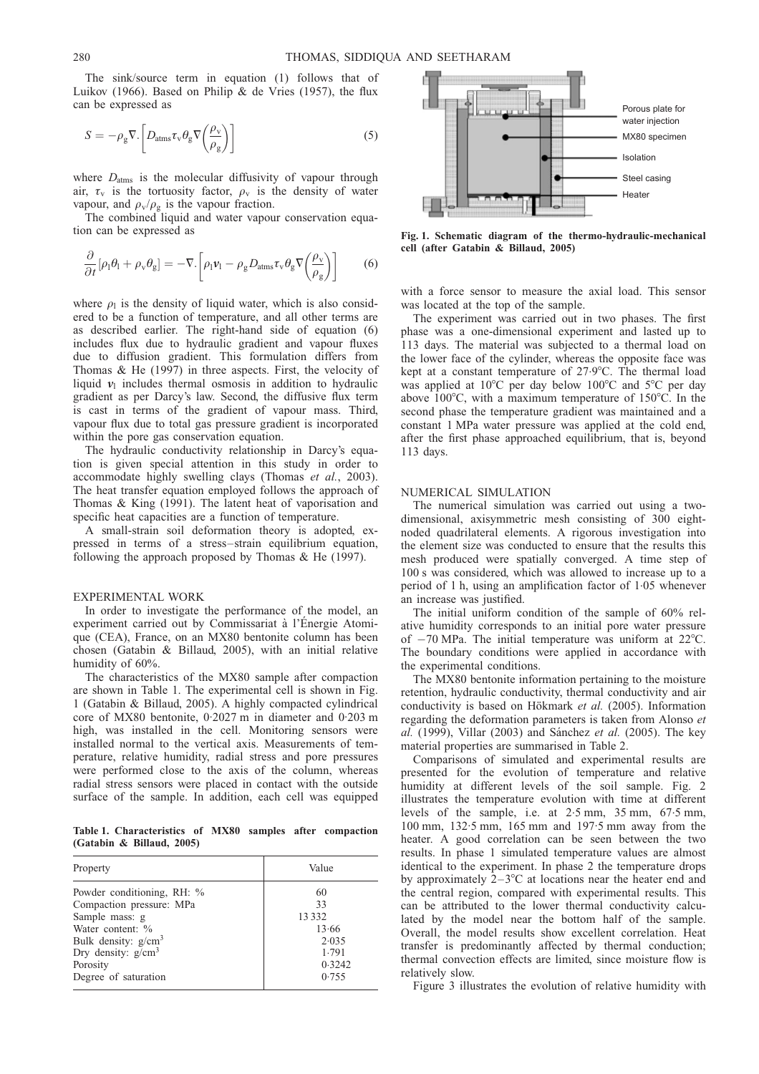The sink/source term in equation [\(1\)](#page-0-0) follows that of [Luikov \(1966\)](#page-3-0). Based on [Philip & de Vries \(1957\)](#page-3-0), the flux can be expressed as

$$
S = -\rho_{\rm g} \nabla \cdot \left[ D_{\rm atms} \tau_{\rm v} \theta_{\rm g} \nabla \left( \frac{\rho_{\rm v}}{\rho_{\rm g}} \right) \right]
$$
 (5)

where  $D_{\text{atms}}$  is the molecular diffusivity of vapour through air,  $\tau_{v}$  is the tortuosity factor,  $\rho_{v}$  is the density of water vapour, and  $\rho_v/\rho_g$  is the vapour fraction.

The combined liquid and water vapour conservation equation can be expressed as

$$
\frac{\partial}{\partial t}[\rho_1 \theta_1 + \rho_\text{v} \theta_\text{g}] = -\nabla \cdot \left[\rho_1 \nu_1 - \rho_\text{g} D_{\text{atms}} \tau_\text{v} \theta_\text{g} \nabla \left(\frac{\rho_\text{v}}{\rho_\text{g}}\right)\right]
$$
(6)

where  $\rho_1$  is the density of liquid water, which is also considered to be a function of temperature, and all other terms are as described earlier. The right-hand side of equation (6) includes flux due to hydraulic gradient and vapour fluxes due to diffusion gradient. This formulation differs from [Thomas & He \(1997\)](#page-3-0) in three aspects. First, the velocity of liquid  $v_1$  includes thermal osmosis in addition to hydraulic gradient as per Darcy's law. Second, the diffusive flux term is cast in terms of the gradient of vapour mass. Third, vapour flux due to total gas pressure gradient is incorporated within the pore gas conservation equation.

The hydraulic conductivity relationship in Darcy's equation is given special attention in this study in order to accommodate highly swelling clays [\(Thomas](#page-3-0) et al., 2003). The heat transfer equation employed follows the approach of [Thomas & King \(1991\).](#page-3-0) The latent heat of vaporisation and specific heat capacities are a function of temperature.

A small-strain soil deformation theory is adopted, expressed in terms of a stress–strain equilibrium equation, following the approach proposed by [Thomas & He \(1997\).](#page-3-0)

# EXPERIMENTAL WORK

In order to investigate the performance of the model, an experiment carried out by Commissariat à l'Énergie Atomique (CEA), France, on an MX80 bentonite column has been chosen [\(Gatabin & Billaud, 2005\),](#page-3-0) with an initial relative humidity of 60%.

The characteristics of the MX80 sample after compaction are shown in Table 1. The experimental cell is shown in Fig. 1 [\(Gatabin & Billaud, 2005\)](#page-3-0). A highly compacted cylindrical core of MX80 bentonite, 0. 2027 m in diameter and 0.203 m high, was installed in the cell. Monitoring sensors were installed normal to the vertical axis. Measurements of temperature, relative humidity, radial stress and pore pressures were performed close to the axis of the column, whereas radial stress sensors were placed in contact with the outside surface of the sample. In addition, each cell was equipped

Table 1. Characteristics of MX80 samples after compaction [\(Gatabin & Billaud, 2005\)](#page-3-0)

| Property                   | Value  |
|----------------------------|--------|
| Powder conditioning, RH: % | 60     |
| Compaction pressure: MPa   | 33     |
| Sample mass: g             | 13332  |
| Water content: %           | 13.66  |
| Bulk density: $g/cm3$      | 2.035  |
| Dry density: $g/cm^3$      | 1.791  |
| Porosity                   | 0.3242 |
| Degree of saturation       | 0.755  |



Fig. 1. Schematic diagram of the thermo-hydraulic-mechanical cell (after [Gatabin & Billaud, 2005\)](#page-3-0)

with a force sensor to measure the axial load. This sensor was located at the top of the sample.

The experiment was carried out in two phases. The first phase was a one-dimensional experiment and lasted up to 113 days. The material was subjected to a thermal load on the lower face of the cylinder, whereas the opposite face was kept at a constant temperature of  $27.9^{\circ}$ C. The thermal load was applied at  $10^{\circ}$ C per day below  $100^{\circ}$ C and  $5^{\circ}$ C per day above  $100^{\circ}$ C, with a maximum temperature of  $150^{\circ}$ C. In the second phase the temperature gradient was maintained and a constant 1 MPa water pressure was applied at the cold end, after the first phase approached equilibrium, that is, beyond 113 days.

#### NUMERICAL SIMULATION

The numerical simulation was carried out using a twodimensional, axisymmetric mesh consisting of 300 eightnoded quadrilateral elements. A rigorous investigation into the element size was conducted to ensure that the results this mesh produced were spatially converged. A time step of 100 s was considered, which was allowed to increase up to a period of 1 h, using an amplification factor of 1.05 whenever an increase was justified.

The initial uniform condition of the sample of 60% relative humidity corresponds to an initial pore water pressure of  $-70$  MPa. The initial temperature was uniform at  $22^{\circ}$ C. The boundary conditions were applied in accordance with the experimental conditions.

The MX80 bentonite information pertaining to the moisture retention, hydraulic conductivity, thermal conductivity and air conductivity is based on Hökmark  $et$  al. (2005). Information regarding the deformation parameters is taken fro[m Alonso](#page-3-0) et al. [\(1999\)](#page-3-0), [Villar \(2003\)](#page-3-0) and Sánchez et al. (2005). The key material properties are summarised in Tabl[e 2.](#page-2-0)

Comparisons of simulated and experimental results are presented for the evolution of temperature and relative humidity at different levels of the soil sample. Fig. [2](#page-2-0) illustrates the temperature evolution with time at different levels of the sample, i.e. at 2.5 mm, 35 mm, 67. 5 mm, 100 mm, 132. 5 mm, 165 mm and 197.5 mm away from the heater. A good correlation can be seen between the two results. In phase 1 simulated temperature values are almost identical to the experiment. In phase 2 the temperature drops by approximately  $2-3$ °C at locations near the heater end and the central region, compared with experimental results. This can be attributed to the lower thermal conductivity calculated by the model near the bottom half of the sample. Overall, the model results show excellent correlation. Heat transfer is predominantly affected by thermal conduction; thermal convection effects are limited, since moisture flow is relatively slow.

Figure [3](#page-2-0) illustrates the evolution of relative humidity with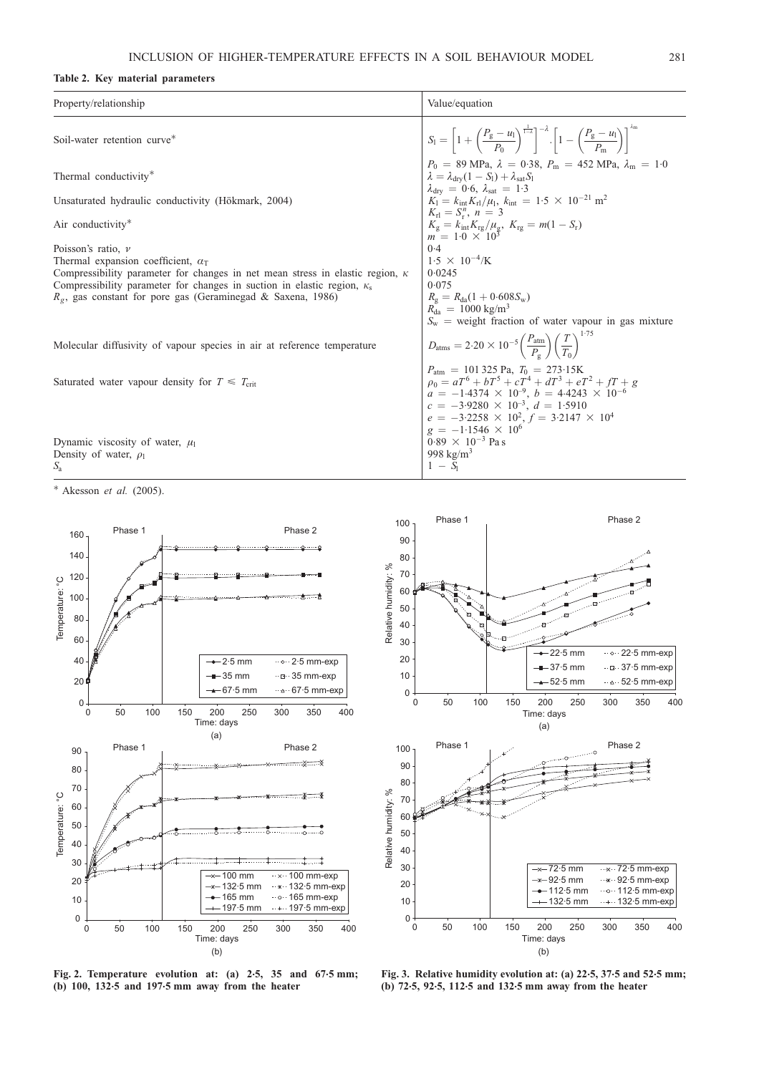# <span id="page-2-0"></span>Table 2. Key material parameters

| Property/relationship                                                                     | Value/equation                                                                                                                                                                                                    |
|-------------------------------------------------------------------------------------------|-------------------------------------------------------------------------------------------------------------------------------------------------------------------------------------------------------------------|
| Soil-water retention curve*                                                               | $S_1 = \left[1 + \left(\frac{P_g - u_1}{P_0}\right)^{\frac{1}{1-\lambda}}\right]^{-\lambda} \cdot \left[1 - \left(\frac{P_g - u_1}{P_m}\right)\right]^{-m}$                                                       |
| Thermal conductivity*                                                                     | $P_0 = 89 \text{ MPa}, \lambda = 0.38, P_m = 452 \text{ MPa}, \lambda_m = 1.0$<br>$\lambda = \lambda_{\text{dry}}(1 - S_1) + \lambda_{\text{sat}}S_1$<br>$\lambda_{\text{dry}} = 0.6, \lambda_{\text{sat}} = 1.3$ |
| Unsaturated hydraulic conductivity (Hökmark, 2004)                                        | $K_1 = k_{\text{int}} K_{\text{rl}}/\mu_1, k_{\text{int}} = 1.5 \times 10^{-21} \text{ m}^2$                                                                                                                      |
| Air conductivity*                                                                         | $K_{\rm rl} = S_{\rm r}^{n}$ , $n = 3$<br>$K_g = k_{int} K_{rg} / \mu_g$ , $K_{rg} = m(1 - S_r)$<br>$m = 1.0 \times 10^3$                                                                                         |
| Poisson's ratio, $\nu$                                                                    | 0.4                                                                                                                                                                                                               |
| Thermal expansion coefficient, $\alpha_{\rm T}$                                           | $1.5 \times 10^{-4}$ /K                                                                                                                                                                                           |
| Compressibility parameter for changes in net mean stress in elastic region, $\kappa$      | 0.0245                                                                                                                                                                                                            |
| Compressibility parameter for changes in suction in elastic region, $\kappa$ <sub>s</sub> | 0.075                                                                                                                                                                                                             |
| $R_g$ , gas constant for pore gas (Geraminegad & Saxena, 1986)                            | $R_{\rm g} = R_{\rm da} (1 + 0.608 S_{\rm w})$                                                                                                                                                                    |
|                                                                                           | $R_{\rm da} = 1000 \text{ kg/m}^3$                                                                                                                                                                                |
|                                                                                           | $S_w$ = weight fraction of water vapour in gas mixture                                                                                                                                                            |
| Molecular diffusivity of vapour species in air at reference temperature                   | $D_{\text{atms}} = 2.20 \times 10^{-5} \left( \frac{P_{\text{atm}}}{P_{\alpha}} \right) \left( \frac{T}{T_0} \right)^{1.73}$                                                                                      |
|                                                                                           |                                                                                                                                                                                                                   |
| Saturated water vapour density for $T \n\leq T_{\text{crit}}$                             | $P_{\text{atm}} = 101325 \text{ Pa}, T_0 = 273.15 \text{ K}$<br>$\rho_0 = aT^6 + bT^5 + cT^4 + dT^3 + eT^2 + fT + g$                                                                                              |
|                                                                                           | $a = -1.4374 \times 10^{-9}$ , $b = 4.4243 \times 10^{-6}$                                                                                                                                                        |
|                                                                                           | $c = -3.9280 \times 10^{-3}$ , $d = 1.5910$                                                                                                                                                                       |
|                                                                                           | $e = -3.2258 \times 10^2$ , $f = 3.2147 \times 10^4$                                                                                                                                                              |
|                                                                                           | $g = -1.1546 \times 10^6$                                                                                                                                                                                         |
| Dynamic viscosity of water, $\mu_1$                                                       | $0.89 \times 10^{-3}$ Pas                                                                                                                                                                                         |
| Density of water, $\rho_1$                                                                | 998 kg/m <sup>3</sup>                                                                                                                                                                                             |
|                                                                                           | $1-S_1$                                                                                                                                                                                                           |

 $*$  [Akesson](#page-3-0) et al. (2005).







Fig. 3. Relative humidity evolution at: (a) 22.5, 37.5 and 52.5 mm; (b) 72. 5, 92.5, 112.5 and 132.5 mm away from the heater